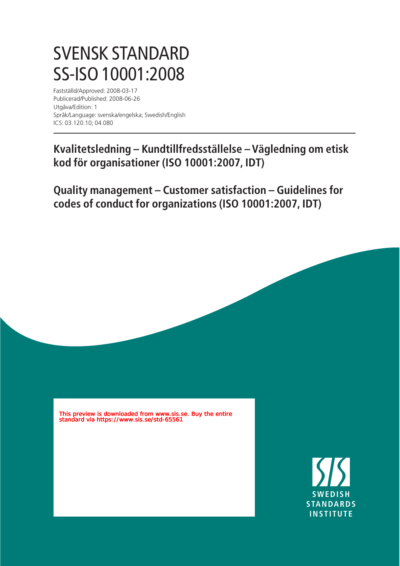## SVENSK STANDARD SS-ISO 10001:2008

Fastställd/Approved: 2008-03-17 Publicerad/Published: 2008-06-26 Utgåva/Edition: 1 Språk/Language: svenska/engelska; Swedish/English ICS: 03.120.10; 04.080

**Kvalitetsledning – Kundtillfredsställelse – Vägledning om etisk kod för organisationer (ISO 10001:2007, IDT)**

**Quality management – Customer satisfaction – Guidelines for codes of conduct for organizations (ISO 10001:2007, IDT)**

This preview is downloaded from www.sis.se. Buy the entire standard via https://www.sis.se/std-65561

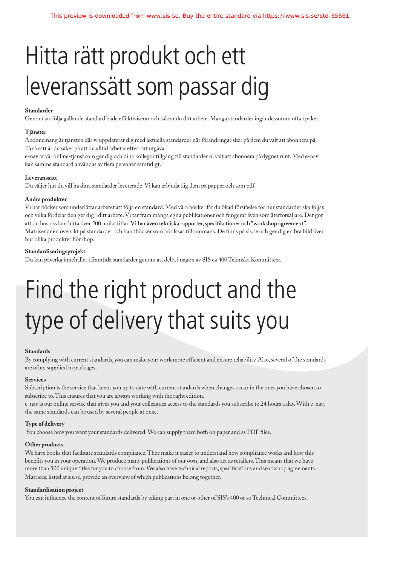## Hitta rätt produkt och ett leveranssätt som passar dig

### **Standarder**

Genom att följa gällande standard både effektiviserar och säkrar du ditt arbete. Många standarder ingår dessutom ofta i paket.

#### **Tjänster**

Abonnemang är tjänsten där vi uppdaterar dig med aktuella standarder när förändringar sker på dem du valt att abonnera på. På så sätt är du säker på att du alltid arbetar efter rätt utgåva.

e-nav är vår online-tjänst som ger dig och dina kollegor tillgång till standarder ni valt att abonnera på dygnet runt. Med e-nav kan samma standard användas av flera personer samtidigt.

#### **Leveranssätt**

Du väljer hur du vill ha dina standarder levererade. Vi kan erbjuda dig dem på papper och som pdf.

#### **Andra produkter**

Vi har böcker som underlättar arbetet att följa en standard. Med våra böcker får du ökad förståelse för hur standarder ska följas och vilka fördelar den ger dig i ditt arbete. Vi tar fram många egna publikationer och fungerar även som återförsäljare. Det gör att du hos oss kan hitta över 500 unika titlar. Vi har även tekniska rapporter, specifikationer och "workshop agreement". Matriser är en översikt på standarder och handböcker som bör läsas tillsammans. De finns på sis.se och ger dig en bra bild över hur olika produkter hör ihop.

### **Standardiseringsprojekt**

Du kan påverka innehållet i framtida standarder genom att delta i någon av SIS ca 400 Tekniska Kommittéer.

# Find the right product and the type of delivery that suits you

#### **Standards**

By complying with current standards, you can make your work more efficient and ensure reliability. Also, several of the standards are often supplied in packages.

### **Services**

Subscription is the service that keeps you up to date with current standards when changes occur in the ones you have chosen to subscribe to. This ensures that you are always working with the right edition.

e-nav is our online service that gives you and your colleagues access to the standards you subscribe to 24 hours a day. With e-nav, the same standards can be used by several people at once.

#### **Type of delivery**

You choose how you want your standards delivered. We can supply them both on paper and as PDF files.

#### **Other products**

We have books that facilitate standards compliance. They make it easier to understand how compliance works and how this benefits you in your operation. We produce many publications of our own, and also act as retailers. This means that we have more than 500 unique titles for you to choose from. We also have technical reports, specifications and workshop agreements. Matrices, listed at sis.se, provide an overview of which publications belong together.

### **Standardisation project**

You can influence the content of future standards by taking part in one or other of SIS's 400 or so Technical Committees.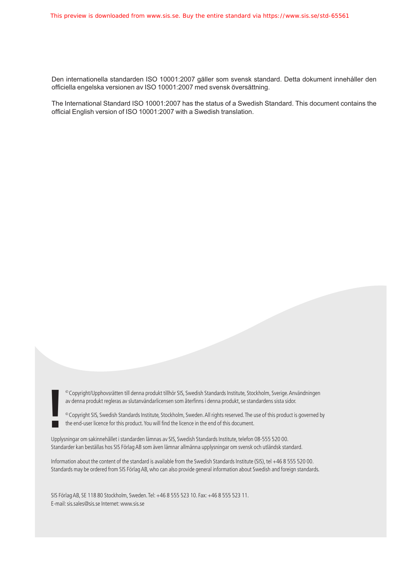Den internationella standarden ISO 10001:2007 gäller som svensk standard. Detta dokument innehåller den officiella engelska versionen av ISO 10001:2007 med svensk översättning.

The International Standard ISO 10001:2007 has the status of a Swedish Standard. This document contains the official English version of ISO 10001:2007 with a Swedish translation.

av denna produkt regleras av slutanvändarlicensen som återfinns i denna produkt, se standardens sista sidor.

<sup>©</sup> Copyright/Upphovsrätten till denna produkt tillhör SIS, Swedish Standards Institute, Stockholm, Sverige. Användningen<br>av denna produkt regleras av slutanvändarlicensen som återfinns i denna produkt, se standardens sis

Upplysningar om sakinnehållet i standarden lämnas av SIS, Swedish Standards Institute, telefon 08-555 520 00. Standarder kan beställas hos SIS Förlag AB som även lämnar allmänna upplysningar om svensk och utländsk standard.

Information about the content of the standard is available from the Swedish Standards Institute (SIS), tel +46 8 555 520 00. Standards may be ordered from SIS Förlag AB, who can also provide general information about Swedish and foreign standards.

SIS Förlag AB, SE 118 80 Stockholm, Sweden. Tel: +46 8 555 523 10. Fax: +46 8 555 523 11. E-mail: sis.sales@sis.se Internet: www.sis.se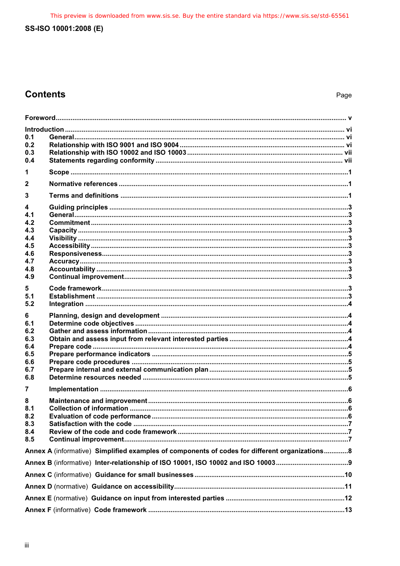## **Contents**

| 0.1                    |                                                                                                |  |
|------------------------|------------------------------------------------------------------------------------------------|--|
| 0.2<br>0.3<br>0.4      |                                                                                                |  |
| 1                      |                                                                                                |  |
| $\mathbf{2}$           |                                                                                                |  |
| 3                      |                                                                                                |  |
| 4<br>4.1<br>4.2<br>4.3 |                                                                                                |  |
| 4.4                    |                                                                                                |  |
| 4.5<br>4.6             |                                                                                                |  |
| 4.7                    |                                                                                                |  |
| 4.8<br>4.9             |                                                                                                |  |
| 5                      |                                                                                                |  |
| 5.1<br>5.2             |                                                                                                |  |
| 6                      |                                                                                                |  |
| 6.1                    |                                                                                                |  |
| 6.2<br>6.3             |                                                                                                |  |
| 6.4                    |                                                                                                |  |
| 6.5<br>6.6             |                                                                                                |  |
| 6.7                    |                                                                                                |  |
| 6.8                    |                                                                                                |  |
| 7                      |                                                                                                |  |
| 8<br>8.1               |                                                                                                |  |
| 8.2<br>8.3             |                                                                                                |  |
| 8.4                    |                                                                                                |  |
| 8.5                    |                                                                                                |  |
|                        | Annex A (informative) Simplified examples of components of codes for different organizations 8 |  |
|                        |                                                                                                |  |
|                        |                                                                                                |  |
|                        |                                                                                                |  |
|                        |                                                                                                |  |
|                        |                                                                                                |  |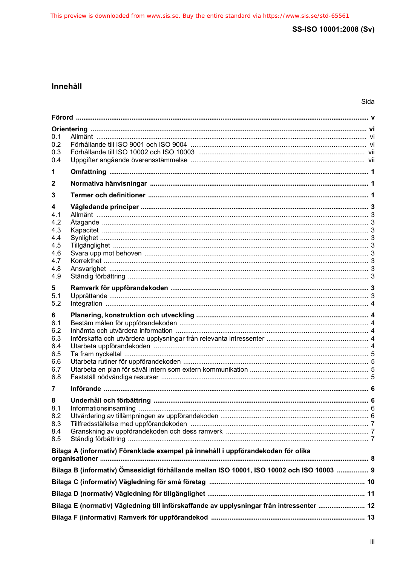## Innehåll

| 0.1<br>0.2<br>0.3<br>0.4                                         |                                                                                           |   |  |
|------------------------------------------------------------------|-------------------------------------------------------------------------------------------|---|--|
| 1                                                                |                                                                                           |   |  |
| 2                                                                |                                                                                           |   |  |
| 3                                                                |                                                                                           |   |  |
| 4<br>4.1<br>4.2<br>4.3<br>4.4<br>4.5<br>4.6<br>4.7<br>4.8<br>4.9 |                                                                                           |   |  |
| 5<br>5.1<br>5.2                                                  |                                                                                           |   |  |
| 6<br>6.1<br>6.2<br>6.3<br>6.4<br>6.5<br>6.6<br>6.7<br>6.8        |                                                                                           |   |  |
| 7                                                                |                                                                                           |   |  |
| 8<br>8.1<br>8.2<br>8.3<br>8.4<br>8.5                             |                                                                                           | 6 |  |
|                                                                  | Bilaga A (informativ) Förenklade exempel på innehåll i uppförandekoden för olika          |   |  |
|                                                                  | Bilaga B (informativ) Ömsesidigt förhållande mellan ISO 10001, ISO 10002 och ISO 10003  9 |   |  |
|                                                                  |                                                                                           |   |  |
|                                                                  |                                                                                           |   |  |
|                                                                  | Bilaga E (normativ) Vägledning till införskaffande av upplysningar från intressenter  12  |   |  |
|                                                                  |                                                                                           |   |  |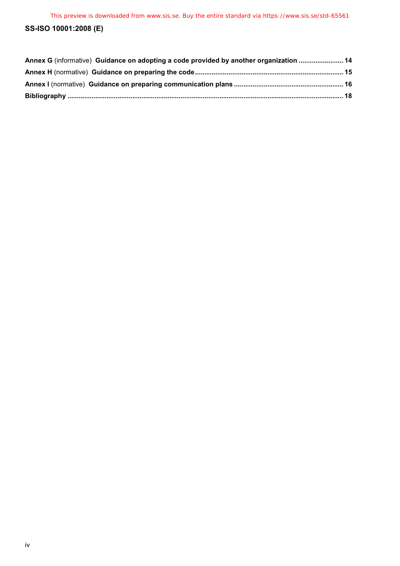| Annex G (informative) Guidance on adopting a code provided by another organization  14 |  |
|----------------------------------------------------------------------------------------|--|
|                                                                                        |  |
|                                                                                        |  |
|                                                                                        |  |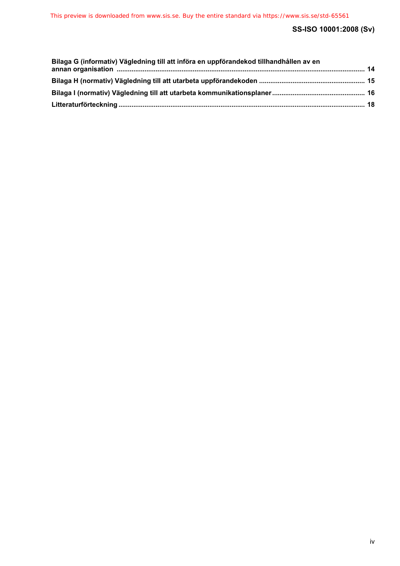| Bilaga G (informativ) Vägledning till att införa en uppförandekod tillhandhållen av en |  |
|----------------------------------------------------------------------------------------|--|
|                                                                                        |  |
|                                                                                        |  |
|                                                                                        |  |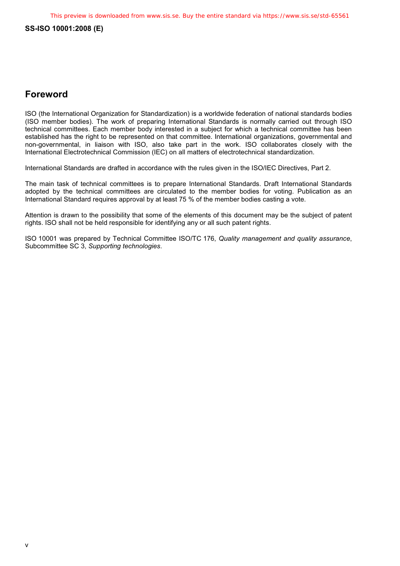## **Foreword**

ISO (the International Organization for Standardization) is a worldwide federation of national standards bodies (ISO member bodies). The work of preparing International Standards is normally carried out through ISO technical committees. Each member body interested in a subject for which a technical committee has been established has the right to be represented on that committee. International organizations, governmental and non-governmental, in liaison with ISO, also take part in the work. ISO collaborates closely with the International Electrotechnical Commission (IEC) on all matters of electrotechnical standardization.

International Standards are drafted in accordance with the rules given in the ISO/IEC Directives, Part 2.

The main task of technical committees is to prepare International Standards. Draft International Standards adopted by the technical committees are circulated to the member bodies for voting. Publication as an International Standard requires approval by at least 75 % of the member bodies casting a vote.

Attention is drawn to the possibility that some of the elements of this document may be the subject of patent rights. ISO shall not be held responsible for identifying any or all such patent rights.

ISO 10001 was prepared by Technical Committee ISO/TC 176, *Quality management and quality assurance*, Subcommittee SC 3, *Supporting technologies*.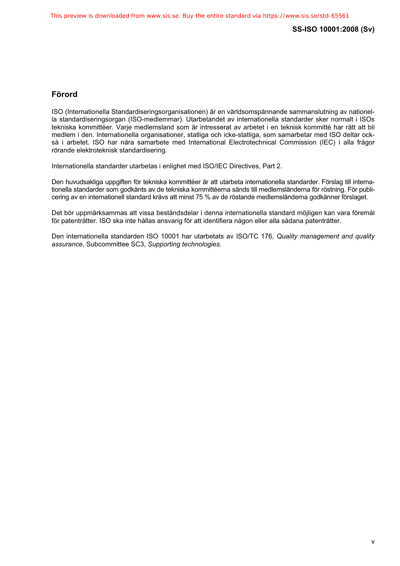## **Förord**

ISO (Internationella Standardiseringsorganisationen) är en världsomspännande sammanslutning av nationella standardiseringsorgan (ISO-medlemmar). Utarbetandet av internationella standarder sker normalt i ISOs tekniska kommittéer. Varje medlemsland som är intresserat av arbetet i en teknisk kommitté har rätt att bli medlem i den. Internationella organisationer, statliga och icke-statliga, som samarbetar med ISO deltar också i arbetet. ISO har nära samarbete med International Electrotechnical Commission (IEC) i alla frågor rörande elektroteknisk standardisering.

Internationella standarder utarbetas i enlighet med ISO/IEC Directives, Part 2.

Den huvudsakliga uppgiften för tekniska kommittéer är att utarbeta internationella standarder. Förslag till internationella standarder som godkänts av de tekniska kommittéerna sänds till medlemsländerna för röstning. För publicering av en internationell standard krävs att minst 75 % av de röstande medlemsländerna godkänner förslaget.

Det bör uppmärksammas att vissa beståndsdelar i denna internationella standard möjligen kan vara föremål för patenträtter. ISO ska inte hållas ansvarig för att identifiera någon eller alla sådana patenträtter.

Den internationella standarden ISO 10001 har utarbetats av ISO/TC 176, *Quality management and quality assurance*, Subcommittee SC3, *Supporting technologies*.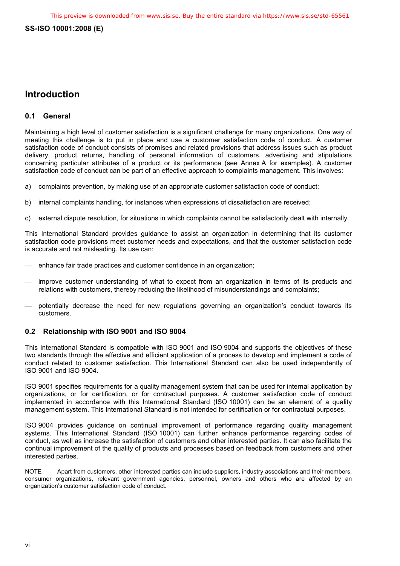## **Introduction**

## **0.1 General**

Maintaining a high level of customer satisfaction is a significant challenge for many organizations. One way of meeting this challenge is to put in place and use a customer satisfaction code of conduct. A customer satisfaction code of conduct consists of promises and related provisions that address issues such as product delivery, product returns, handling of personal information of customers, advertising and stipulations concerning particular attributes of a product or its performance (see Annex A for examples). A customer satisfaction code of conduct can be part of an effective approach to complaints management. This involves:

- a) complaints prevention, by making use of an appropriate customer satisfaction code of conduct;
- b) internal complaints handling, for instances when expressions of dissatisfaction are received;
- c) external dispute resolution, for situations in which complaints cannot be satisfactorily dealt with internally.

This International Standard provides guidance to assist an organization in determining that its customer satisfaction code provisions meet customer needs and expectations, and that the customer satisfaction code is accurate and not misleading. Its use can:

- enhance fair trade practices and customer confidence in an organization;
- improve customer understanding of what to expect from an organization in terms of its products and relations with customers, thereby reducing the likelihood of misunderstandings and complaints;
- potentially decrease the need for new regulations governing an organization's conduct towards its customers.

## **0.2 Relationship with ISO 9001 and ISO 9004**

This International Standard is compatible with ISO 9001 and ISO 9004 and supports the objectives of these two standards through the effective and efficient application of a process to develop and implement a code of conduct related to customer satisfaction. This International Standard can also be used independently of ISO 9001 and ISO 9004.

ISO 9001 specifies requirements for a quality management system that can be used for internal application by organizations, or for certification, or for contractual purposes. A customer satisfaction code of conduct implemented in accordance with this International Standard (ISO 10001) can be an element of a quality management system. This International Standard is not intended for certification or for contractual purposes.

ISO 9004 provides guidance on continual improvement of performance regarding quality management systems. This International Standard (ISO 10001) can further enhance performance regarding codes of conduct, as well as increase the satisfaction of customers and other interested parties. It can also facilitate the continual improvement of the quality of products and processes based on feedback from customers and other interested parties.

NOTE Apart from customers, other interested parties can include suppliers, industry associations and their members, consumer organizations, relevant government agencies, personnel, owners and others who are affected by an organization's customer satisfaction code of conduct.